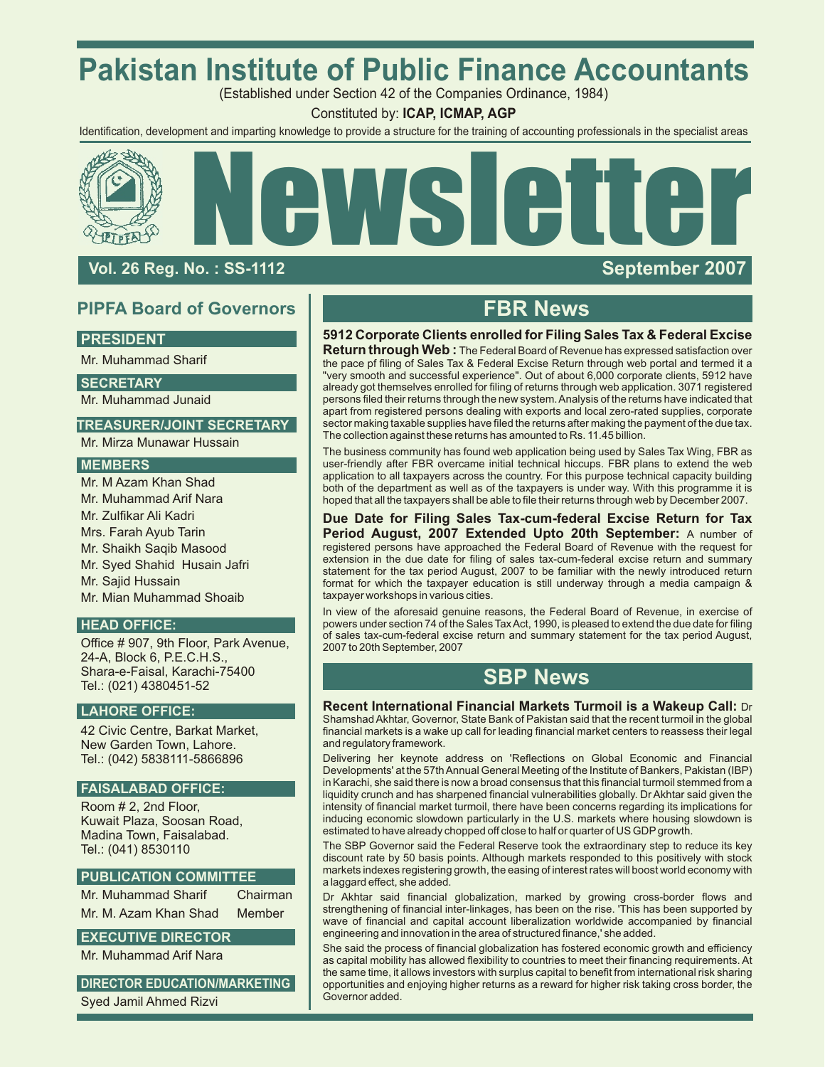# **Pakistan Institute of Public Finance Accountants**

(Established under Section 42 of the Companies Ordinance, 1984)

Constituted by: **ICAP, ICMAP, AGP**

Identification, development and imparting knowledge to provide a structure for the training of accounting professionals in the specialist areas



## **Vol. 26 Reg. No. : SS-1 112**

## **PIPFA Board of Governors FBR News**

### **PRESIDENT**

Mr. Muhammad Sharif

**SECRETARY**

Mr. Muhammad Junaid

### **TREASURER/JOINT SECRETARY**

Mr. Mirza Munawar Hussain

### **MEMBERS**

Mr. M Azam Khan Shad Mr. Muhammad Arif Nara Mr. Zulfikar Ali Kadri Mrs. Farah Ayub Tarin Mr. Shaikh Saqib Masood Mr. Syed Shahid Husain Jafri Mr. Sajid Hussain Mr. Mian Muhammad Shoaib

### **HEAD OFFICE:**

Office # 907, 9th Floor, Park Avenue, 24-A, Block 6, P.E.C.H.S., Shara-e-Faisal, Karachi-75400 Tel.: (021) 4380451-52

### **LAHORE OFFICE:**

42 Civic Centre, Barkat Market, New Garden Town, Lahore. Tel.: (042) 5838111-5866896

## **FAISALABAD OFFICE:**

Room # 2, 2nd Floor, Kuwait Plaza, Soosan Road, Madina Town, Faisalabad. Tel.: (041) 8530110

### **PUBLICATION COMMITTEE**

Mr. Muhammad Sharif Chairman Mr. M. Azam Khan Shad Member

## **EXECUTIVE DIRECTOR**

Mr. Muhammad Arif Nara

**DIRECTOR EDUCATION/MARKETING**

Syed Jamil Ahmed Rizvi

### **5912 Corporate Clients enrolled for Filing Sales Tax & Federal Excise**

**Return through Web :** The Federal Board of Revenue has expressed satisfaction over the pace pf filing of Sales Tax & Federal Excise Return through web portal and termed it a "very smooth and successful experience". Out of about 6,000 corporate clients, 5912 have already got themselves enrolled for filing of returns through web application. 3071 registered persons filed their returns through the new system. Analysis of the returns have indicated that apart from registered persons dealing with exports and local zero-rated supplies, corporate sector making taxable supplies have filed the returns after making the payment of the due tax. The collection against these returns has amounted to Rs. 11.45 billion.

The business community has found web application being used by Sales Tax Wing, FBR as user-friendly after FBR overcame initial technical hiccups. FBR plans to extend the web application to all taxpayers across the country. For this purpose technical capacity building both of the department as well as of the taxpayers is under way. With this programme it is hoped that all the taxpayers shall be able to file their returns through web by December 2007.

**Due Date for Filing Sales Tax-cum-federal Excise Return for Tax Period August, 2007 Extended Upto 20th September:** A number of registered persons have approached the Federal Board of Revenue with the request for extension in the due date for filing of sales tax-cum-federal excise return and summary statement for the tax period August, 2007 to be familiar with the newly introduced return format for which the taxpayer education is still underway through a media campaign & taxpayer workshops in various cities.

In view of the aforesaid genuine reasons, the Federal Board of Revenue, in exercise of powers under section 74 of the Sales Tax Act, 1990, is pleased to extend the due date for filing of sales tax-cum-federal excise return and summary statement for the tax period August, 2007 to 20th September, 2007

## **SBP News**

**Recent International Financial Markets Turmoil is a Wakeup Call:** Dr Shamshad Akhtar, Governor, State Bank of Pakistan said that the recent turmoil in the global financial markets is a wake up call for leading financial market centers to reassess their legal and regulatory framework.

Delivering her keynote address on 'Reflections on Global Economic and Financial Developments' at the 57th Annual General Meeting of the Institute of Bankers, Pakistan (IBP) in Karachi, she said there is now a broad consensus that this financial turmoil stemmed from a liquidity crunch and has sharpened financial vulnerabilities globally. Dr Akhtar said given the intensity of financial market turmoil, there have been concerns regarding its implications for inducing economic slowdown particularly in the U.S. markets where housing slowdown is estimated to have already chopped off close to half or quarter of US GDP growth.

The SBP Governor said the Federal Reserve took the extraordinary step to reduce its key discount rate by 50 basis points. Although markets responded to this positively with stock markets indexes registering growth, the easing of interest rates will boost world economy with a laggard effect, she added.

Dr Akhtar said financial globalization, marked by growing cross-border flows and strengthening of financial inter-linkages, has been on the rise. 'This has been supported by wave of financial and capital account liberalization worldwide accompanied by financial engineering and innovation in the area of structured finance,' she added.

She said the process of financial globalization has fostered economic growth and efficiency as capital mobility has allowed flexibility to countries to meet their financing requirements. At the same time, it allows investors with surplus capital to benefit from international risk sharing opportunities and enjoying higher returns as a reward for higher risk taking cross border, the Governor added.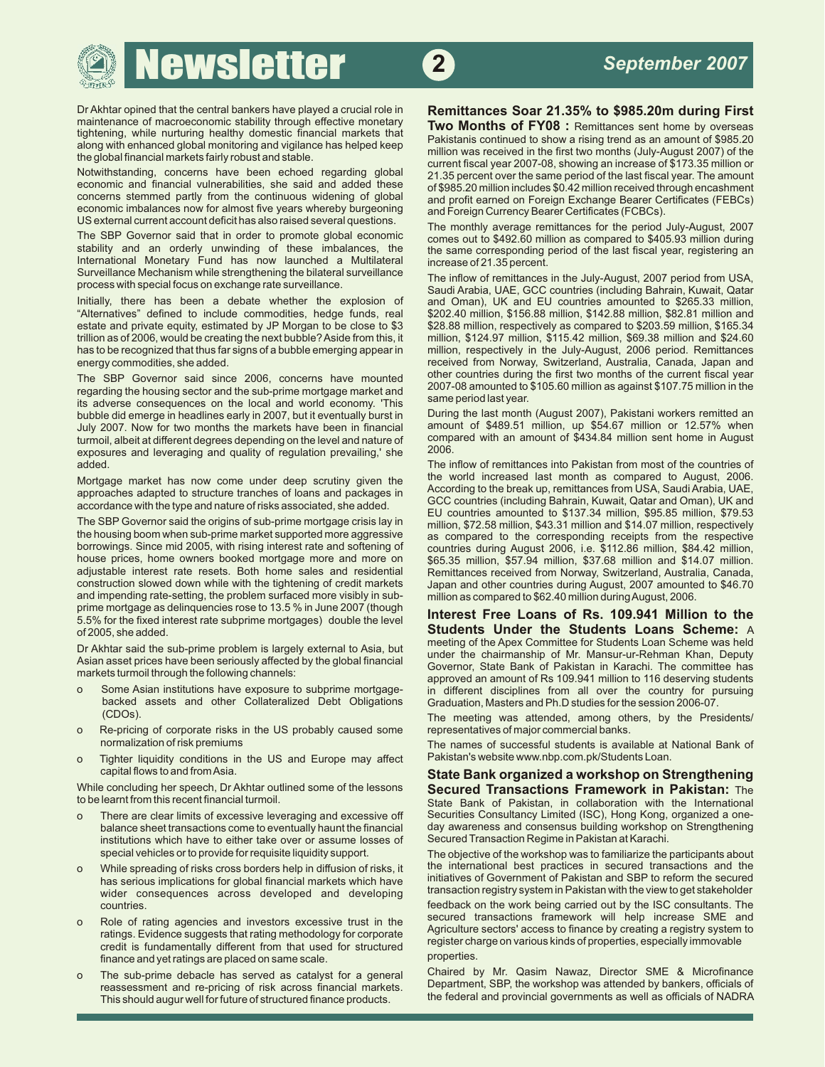**Newsletter 2** 

Dr Akhtar opined that the central bankers have played a crucial role in **Remittances Soar 21.35% to \$985.20m during First** 

Notwithstanding, concerns have been echoed regarding global 21.35 percent over the same period of the last fiscal year. The amount economic and financial vulnerabilities, she said and added these of \$985.20 million include economic and financial vulnerabilities, she said and added these of \$985.20 million includes \$0.42 million received through encashment<br>Concerns stemmed partly from the continuous widening of global and profit earned on Eor economic imbalances now for almost five years whereby burgeoning and Foreign Currency Bearer Certificates (FCBCs).<br>US external current account deficit has also raised several questions.

The SBP Governor said that in order to promote global economic stability and an orderly unwinding of these imbalances, the International Monetary Fund has now launched a Multilateral increase of 21.35 percent.<br>Surveillance Mechanism while strengthening the bilateral surveillance The inflow of remittances Surveillance Mechanism while strengthening the bilateral surveillance The inflow of remittances in the July-August, 2007 period from USA,<br>Countries (including Behrsin, Kuweit, Octor, 1997)

Initially, there has been a debate whether the explosion of and Oman), UK and EU countries amounted to \$265.33 million,<br>"Alternatives" defined to include commodities, hedge funds, real \$202.40 million, \$156.88 million, \$14 estate and private equity, estimated by JP Morgan to be close to \$3 \$28.88 million, respectively as compared to \$203.59 million, \$165.34<br>trillion as of 2006, would be creating the next bubble? Aside from this, it million, has to be recognized that thus far signs of a bubble emerging appear in million, respectively in the July-August, 2006 period. Remittances

The SBP Governor said since 2006, concerns have mounted<br>regarding the housing sector and the sub-prime mortgage market and<br>its odverse encognishes are the local and world economy. This same period last year. its adverse consequences on the local and world economy. 'This sallie periodiast year.<br>bubble did emerge in headlines early in 2007, but it eventually burst in During the last month (August 2007), Pakistani workers remitte bubble did emerge in headlines early in 2007, but it eventually burst in During the last month (August 2007), Pakistani workers remitted an in but the entited an in During the Muslim of the last million, up \$54.67 million July 2007. Now for two months the markets have been in financial amount of \$489.51 million, up \$54.67 million or 12.57% when<br>turmoil albeit at different degrees depending on the level and nature of compared with an amount turmoil, albeit at different degrees depending on the level and nature of comparison sent home in August to the level and nature of comparison and nature of comparison on the level and nature of comparison and nature of th exposures and leveraging and quality of regulation prevailing,' she added.

The SBP Governor said the origins of sub-prime mortgage crisis lay in million, \$72.58 million, \$43.31 million and \$14.07 million, respectively<br>the housing boom when sub-prime market supported more aggressive as compared, t the housing boom when sub-prime market supported more aggressive as compared to the corresponding receipts from the respective<br>borrowings. Since mid 2005, with rising interest rate and softening of countries during August borrowings. Since mid 2005, with rising interest rate and softening of countries during August 2006, i.e. \$112.86 million, \$84.42 million,<br>house prices, home owners booked mortgage more and more on stess.35 million, \$57.94 adjustable interest rate resets. Both home sales and residential construction slowed down while with the tightening of credit markets and impending rate-setting, the problem surfaced more visibly in sub-<br>prime mortgage as delinquencies rose to 13.5 % in June 2007 (though prime mortgage as delinquencies rose to 13.5 % in June 2007 (though **Interest Free Loans of Rs. 109.941 Million to the** 5.5% for the fixed interest rate subprime mortgages) double the level

- backed assets and other Collateralized Debt Obligations Graduation, Masters and Ph.D studies for the session 2006-07.
- o Re-pricing of corporate risks in the US probably caused some representatives of major commercial banks.
- o Tighter liquidity conditions in the US and Europe may affect

While concluding her speech, Dr Akhtar outlined some of the lessons **Secured Transactions Framework in Pakistan:** The

- o There are clear limits of excessive leveraging and excessive off balance sheet transactions come to eventually haunt the financial institutions which have to either take over or assume losses of
- has serious implications for global financial markets which have
- 
- o The sub-prime debacle has served as catalyst for a general This should augur well for future of structured finance products.

maintenance of macroeconomic stability through effective monetary<br>
tightening, while nurturing healthy domestic financial markets that<br>
along with enhanced global monitoring and vigilance has helped keep<br>
the global financ and profit earned on Foreign Exchange Bearer Certificates (FEBCs)

> The monthly average remittances for the period July-August, 2007 comes out to \$492.60 million as compared to \$405.93 million during the same corresponding period of the last fiscal year, registering an

process with special focus of exchange rate surveillance.<br>Initially, there has been a debate whether the explosion of and Oman), UK and EU countries amounted to \$265.33 million, \$202.40 million, \$156.88 million, \$142.88 million, \$82.81 million and million, \$124.97 million, \$115.42 million, \$69.38 million and \$24.60 energy commodities, she added.<br>The SBB Governor said since 2006, concerns, bave mounted other countries during the first two months of the current fiscal year.

The inflow of remittances into Pakistan from most of the countries of the world increased last month as compared to August, 2006. Mortgage market has now come under deep scrutiny given the<br>approaches adapted to structure tranches of loans and packages in<br>accordance with the type and nature of risks associated, she added.<br>EU countries (including Bahra \$65.35 million, \$57.94 million, \$37.68 million and \$14.07 million.<br>Remittances received from Norway, Switzerland, Australia, Canada. Japan and other countries during August, 2007 amounted to \$46.70 million as compared to \$62.40 million during August, 2006.

of 2005, she added. **Students Under the Students Loans Scheme:** A Dr Akhtar said the sub-prime problem is largely external to Asia, but<br>Asian asset prices have been seriously affected by the global financial<br>markets turmoil through the following channels:<br>o Some Asian in Karachi, The com in different disciplines from all over the country for pursuing

The meeting was attended, among others, by the Presidents/

normalization of risk premiums<br>Tighter liquidity conditions in the US and Europe may affect Pakistan's website www.nbp.com.pk/Students Loan.

capital flows to and from Asia. **State Bank organized a workshop on Strengthening**  State Bank of Pakistan, in collaboration with the International Securities Consultancy Limited (ISC), Hong Kong, organized a oneday awareness and consensus building workshop on Strengthening Secured Transaction Regime in Pakistan at Karachi.

special vehicles or to provide for requisite liquidity support.<br>While spreading of risks cross borders help in diffusion of risks, it the international best practices in secured transactions and the o While spreading of risks cross borders help in diffusion of risks, it the international best practices in secured transactions and the secured transactions and the secured transactions for global financial markets which wider consequences across developed and developing transaction registry system in Pakistan with the view to get stakeholder countries.<br>
Feedback on the work being carried out by the ISC consultants. The<br>
Polo of rating agapping and investors exceptive trust in the secured transactions framework will help increase SME and Provide of rating agencies and investors excessive trust in the secured transactions framework will help increase SME and<br>ratings. Evidence suggests that rating methodology for corporate Agriculture sectors' access to fina

finance and yet ratings are placed on same scale.<br>The sub-prime debacle has served as catalyst for a general Chaired by Mr. Qasim Nawaz, Director SME & Microfinance The sessignent and re-pricing of risk across financial markets.<br>This should august well for future of structured finance products the federal and provincial governments as well as officials of NADRA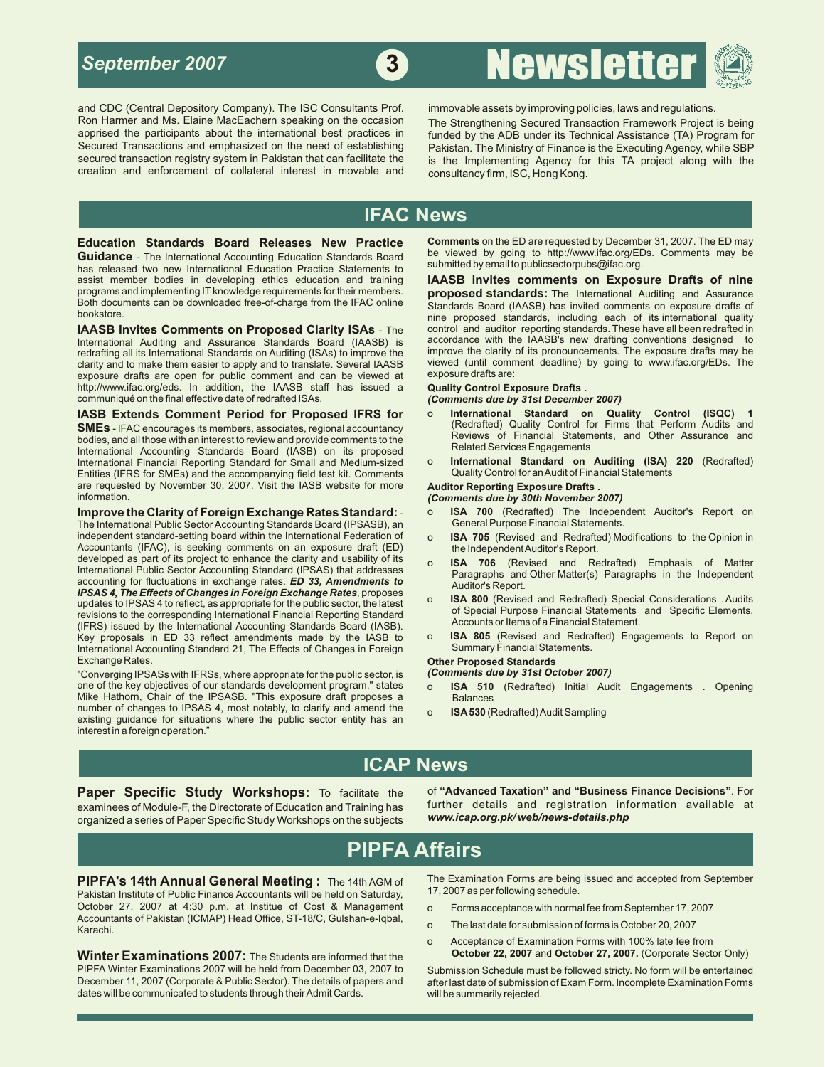

and CDC (Central Depository Company). The ISC Consultants Prof. immovable assets by improving policies, laws and regulations. Ron Harmer and Ms. Elaine MacEachern speaking on the occasion The Strengthening Secured Transaction Framework Project is being apprised the participants about the international best practices in funded by the ADB under its creation and enforcement of collateral interest in movable and consultancy firm, ISC, Hong Kong.

**<sup>3</sup>** Newsletter

apprised the participants about the international best practices in funded by the ADB under its Technical Assistance (TA) Program for<br>Secured Transactions and emphasized on the need of establishing pakistan The Ministry of Secured Transactions and emphasized on the need of establishing Pakistan. The Ministry of Finance is the Executing Agency, while SBP<br>Secured transaction registry system in Pakistan that can facilitate the same in the Imple is the Implementing Agency for this TA project along with the

## **IFAC News**

**Guidance** - The International Accounting Education Standards Board be viewed by going to http://www.ifac.org/ED<br>has released two new International Education Practice Statements to submitted by email to publicsectorpubs@if has released two new International Education Practice Statements to assist member bodies in developing ethics education and training assist member bodies in developing ethics education and training **IAASB invites comments on Exposure Drafts of nine**  Both documents can be downloaded free-of-charge from the IFAC online Standards Board (IAASB) has invited comments on exposure drafts of<br>bookstore. saying presenced characters including each of ite international quality

**IAASB Invites Comments on Proposed Clarity ISAs** - The control and auditor reporting standards. These have all been redrafted in International Auditing and Assurance Standards Board (IAASB) is accordance with the IAASB's International Auditing and Assurance Standards Board (IAASB) is accordance with the IAASB's new drafting conventions designed to International Standards on Auditing (ISAs) to improve the improve the clarity of its pronounc redrafting all its International Standards on Auditing (ISAs) to improve the improve the clarity of its pronouncements. The exposure drafts may be redrafts may be redrafts and to make them easier to apply and to translate. clarity and to make them easier to apply and to translate. Several IAASB viewed (until comment and to make the<br>Exposure drafts are open for public comment and can be viewed at sexposure drafts are: exposure drafts are open for public comment and can be viewed at http://www.ifac.org/eds. In addition, the IAASB staff has issued a **Quality Control Exposure Drafts .** communiqué on the final effective date of redrafted ISAs. *(Comments due by 31st December 2007)* 

**SMEs** - IFAC encourages its members, associates, regional accountancy<br>bodies, and all those with an interest to review and provide comments to the<br>Religion Business of Financial Statements, and Other Assurance and International Accounting Standards Board (IASB) on its proposed<br>International Accounting Standards Board (IASB) on its proposed<br>International Financial Reporting Standard for Small and Medium-sized on **International Standa** International Financial Reporting Standard for Small and Medium-sized onlinternational Standard on Auditing (ISA)<br>Entities (IFRS for SMEs) and the accompanying field test kit. Comments Quality Control for an Audit of Finan Entities (IFRS for SMEs) and the accompanying field test kit. Comments Quality Control for an Audit of Financial Audit of Financial Statements for an Audit of Financial Statements for more Auditor Reporting Exposure Drafts are requested by November 30, 2007. Visit the IASB website for more information.

The International Public Sector Accounting Standards Board (IPSASB), an independent standard-setting board within the International Federation of o **ISA 705** (Revised and Redrafted) Modifications to the Opinion in Accountants (IFAC), is seeking comments on an exposure draft (ED) the Independent Auditor's Report.<br>developed as part of its project to enhance the clarity and usability of its **1984. 706.** (Boyieed, and Be developed as part of its project to enhance the clarity and usability of its<br>
International Public Sector Accounting Standard (IPSAS) that addresses<br>
accounting for fluctuations in exchange rates. **ED 33, American expansio** <sup>o</sup> **ISA 800** (Revised and Redrafted) Special Considerations . Audits updates to IPSAS 4 to reflect, as appropriate for the public sector, the latest of Special Purpose Financial Statements and Specific Elements, revisions to the corresponding International Financial Reporting Standard Accounts or Items of a Financial Statement. (IFRS) issued by the International Accounting Standards Board (IASB). Key proposals in ED 33 reflect amendments made by the IASB to **ISA 805** (Revised and Redra<br>International Accounting Standard 21 The Effects of Changes in Foreign<br>International Accounting Standard 21 The Effects of Changes International Accounting Standard 21, The Effects of Changes in Foreign<br>Exchange Rates.

"Converging IPSASs with IFRSs, where appropriate for the public sector, is **(Comments due by 31st October 2007)**<br>
one of the key objectives of our standards development program," states o **ISA 510** (Redrafted) Initial Audi one of the key objectives of our standards development program," states o Mike Hathorn, Chair of the IPSASB. "This exposure draft proposes a Balances<br>number of changes to IPSAS 4, most notably, to clarify and amend the  $\sim$  ISA 530 (5 number of changes to IPSAS 4, most notably, to clarify and amend the oring **ISA530** (Redrafted) Audit Sampling existing guidance for situations where the public sector entity has an interest in a foreign operation."

**Education Standards Board Releases New Practice Comments** on the ED are requested by December 31, 2007. The ED may<br>**Guidance** - The International Accounting Education Standards Board be viewed by going to http://www.ifac.

programs and implementing IT knowledge requirements for their members. **proposed standards:** The International Auditing and Assurance nine proposed standards, including each of its international quality

- **IASB Extends Comment Period for Proposed IFRS for** o **International Standard on Quality Control (ISQC) 1**
	-

(Comments due by 30th November 2007)

- **Improve the Clarity of Foreign Exchange Rates Standard: o <b>ISA 700** (Redrafted) The Independent Auditor's Report on The Independent Auditor's Report on The International Public Sector Accounting Standards Board (IPSASB)
	-
	-
	-
	-

## Other Proposed Standards<br>(Comments due by 31st October 2007)

- 
- 

## **ICAP News**

examinees of Module-F, the Directorate of Education and Training has turther details and registration information<br>Organized a series of Paper Specific Study Workshops on the subjects www.icap.org.pk/web/news-details.php organized a series of Paper Specific Study Workshops on the subjects

**Paper Specific Study Workshops:** To facilitate the of "Advanced Taxation" and "Business Finance Decisions". For recommence of **Module-F** the Directorate of Education and Training has further details and registration infor

## **PIPFA Affairs**

Pakistan Institute of Public Finance Accountants will be held on Saturday, October 27, 2007 at 4:30 p.m. at Institue of Cost & Management o Forms acceptance with normal fee from September 17, 2007 Accountants of Pakistan (ICMAP) Head Office, ST-18/C, Gulshan-e-Iqbal, Accountains of Panistan (ICMAP) Head Office, 31-10/0, Guishan-e-Iqual, completed for submission of forms is October 20, 2007<br>Karachi

**Winter Examinations 2007:** The Students are informed that the PIPFA Winter Examinations 2007 will be held from December 03, 2007 to PIPFA Winter Examinations 2007 will be held from December 03, 2007 to Submission Schedule must be followed stricty. No form will be entertained<br>December 11, 2007 (Corporate & Public Sector). The details of papers and after dates will be communicated to students through their Admit Cards. will be summarily rejected.

**PIPFA's 14th Annual General Meeting :** The 14th AGM of The Examination Forms are being issued and accepted from September<br>Pakistan Institute of Public Finance Accountants will be held on Saturday 17, 2007 as per following

- 
- 
- o Acceptance of Examination Forms with 100% late fee from<br> **October 22, 2007** and **October 27, 2007.** (Corporate Sector Only)

after last date of submission of Exam Form. Incomplete Examination Forms